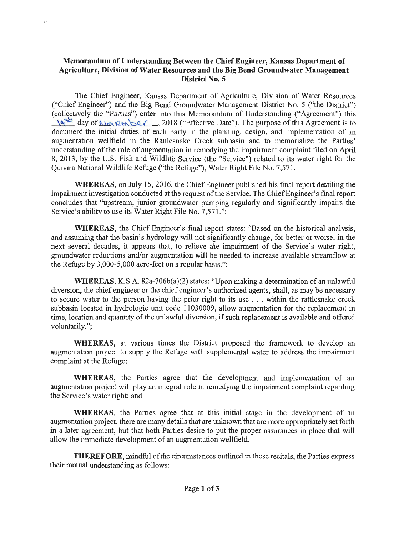## **Memorandum of Understanding Between the Chief Engineer, Kansas Department of Agriculture, Division of Water Resources and the Big Bend Groundwater Management District No. 5**

 $\epsilon$ 

The Chief Engineer, Kansas Department of Agriculture, Division of Water Resources ("Chief Engineer") and the Big Bend Groundwater Management District No. 5 ("the District") (collectively the "Parties") enter into this Memorandum of Understanding ("Agreement") this day of N ®' R m ber , 2018 ("Effective Date"). The purpose of this Agreement is to document the initial duties of each party in the planning, design, and implementation of an augmentation wellfield in the Rattlesnake Creek subbasin and to memorialize the Parties' understanding of the role of augmentation in remedying the impairment complaint filed on April 8, 2013, by the U.S. Fish and Wildlife Service (the "Service") related to its water right for the Quivira National Wildlife Refuge ("the Refuge"), Water Right File No. 7,571.

**WHEREAS,** on July 15, 2016, the Chief Engineer published his final report detailing the impairment investigation conducted at the request of the Service. The Chief Engineer's final report concludes that "upstream, junior groundwater pumping regularly and significantly impairs the Service's ability to use its Water Right File No. 7,571.";

**WHEREAS,** the Chief Engineer's final report states: "Based on the historical analysis, and assuming that the basin's hydrology will not significantly change, for better or worse, in the next several decades, it appears that, to relieve the impairment of the Service's water right, groundwater reductions and/or augmentation will be needed to increase available streamflow at the Refuge by 3,000-5,000 acre-feet on a regular basis.";

**WHEREAS,** KS.A. 82a-706b(a)(2) states: "Upon making a determination of an unlawful diversion, the chief engineer or the chief engineer's authorized agents, shall, as may be necessary to secure water to the person having the prior right to its use ... within the rattlesnake creek subbasin located in hydrologic unit code 11030009, allow augmentation for the replacement in time, location and quantity of the unlawful diversion, if such replacement is available and offered voluntarily.";

**WHEREAS,** at various times the District proposed the framework to develop an augmentation project to supply the Refuge with supplemental water to address the impairment complaint at the Refuge;

**WHEREAS,** the Parties agree that the development and implementation of an augmentation project will play an integral role in remedying the impairment complaint regarding the Service's water right; and

**WHEREAS,** the Parties agree that at this initial stage in the development of an augmentation project, there are many details that are unknown that are more appropriately set forth in a later agreement, but that both Parties desire to put the proper assurances in place that will allow the immediate development of an augmentation wellfield.

**THEREFORE,** mindful of the circumstances outlined in these recitals, the Parties express their mutual understanding as follows: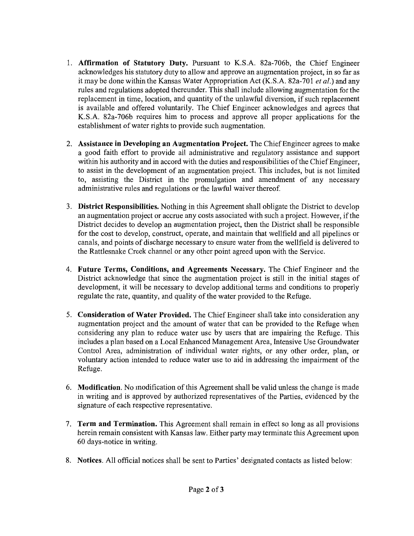- 1. **Affirmation of Statutory Duty.** Pursuant to K.S.A. 82a-706b, the Chief Engineer acknowledges his statutory duty to allow and approve an augmentation project, in so far as it may be done within the Kansas Water Appropriation Act (K.S.A. 82a-701 *et al.)* and any rules and regulations adopted thereunder. This shall include allowing augmentation for the replacement in time, location, and quantity of the unlawful diversion, if such replacement is available and offered voluntarily. The Chief Engineer acknowledges and agrees that K.S.A. 82a-706b requires him to process and approve all proper applications for the establishment of water rights to provide such augmentation.
- 2. **Assistance in Developing an Augmentation Project.** The Chief Engineer agrees to make a good faith effort to provide all administrative and regulatory assistance and support within his authority and in accord with the duties and responsibilities of the Chief Engineer, to assist in the development of an augmentation project. This includes, but is not limited to, assisting the District in the promulgation and amendment of any necessary administrative rules and regulations or the lawful waiver thereof.
- 3. **District Responsibilities.** Nothing in this Agreement shall obligate the District to develop an augmentation project or accrue any costs associated with such a project. However, ifthe District decides to develop an augmentation project, then the District shall be responsible for the cost to develop, construct, operate, and maintain that wellfield and all pipelines or canals, and points of discharge necessary to ensure water from the wellfield is delivered to the Rattlesnake Creek channel or any other point agreed upon with the Service.
- 4. **Future Terms, Conditions, and Agreements Necessary.** The Chief Engineer and the District acknowledge that since the augmentation project is still in the initial stages of development, it will be necessary to develop additional terms and conditions to properly regulate the rate, quantity, and quality of the water provided to the Refuge.
- 5. **Consideration of Water Provided.** The Chief Engineer shall take into consideration any augmentation project and the amount of water that can be provided to the Refuge when considering any plan to reduce water use by users that are impairing the Refuge. This includes a plan based on a Local Enhanced Management Area, Intensive Use Groundwater Control Area, administration of individual water rights, or any other order, plan, or voluntary action intended to reduce water use to aid in addressing the impairment of the Refuge.
- 6. **Modification.** No modification of this Agreement shall be valid unless the change is made in writing and is approved by authorized representatives of the Parties, evidenced by the signature of each respective representative.
- 7. **Term and Termination.** This Agreement shall remain in effect so long as all provisions herein remain consistent with Kansas law. Either party may terminate this Agreement upon 60 days-notice in writing.
- 8. **Notices.** All official notices shall be sent to Parties' designated contacts as listed below: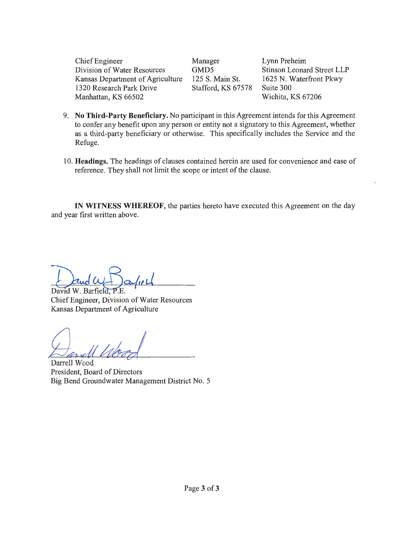Chief Engineer Division of Water Resources Kansas Department of Agriculture 1320 Research Park Drive Manhattan, KS 66502

Manager GMD5 125 S. Main St. Stafford, KS 67578

Lynn Preheim Stinson Leonard Street LLP 1625 N. Waterfront Pkwy Suite 300 Wichita, KS 67206

- 9. **No Third-Party Beneficiary.** No participant in this Agreement intends for this Agreement to confer any benefit upon any person or entity not a signatory to this Agreement, whether as a third-party beneficiary or otherwise. This specifically includes the Service and the Refuge.
- 10. **Headings.** The headings of clauses contained herein are used for convenience and ease of reference. They shall not limit the scope or intent of the clause.

**IN WITNESS WHEREOF,** the parties hereto have executed this Agreement on the day and year first written above.

David W. Barfield. Chief Engineer, Division of Water Resources Kansas Department of Agriculture

*fultk)* 

Darrell Wood President, Board of Directors Big Bend Groundwater Management District No. 5